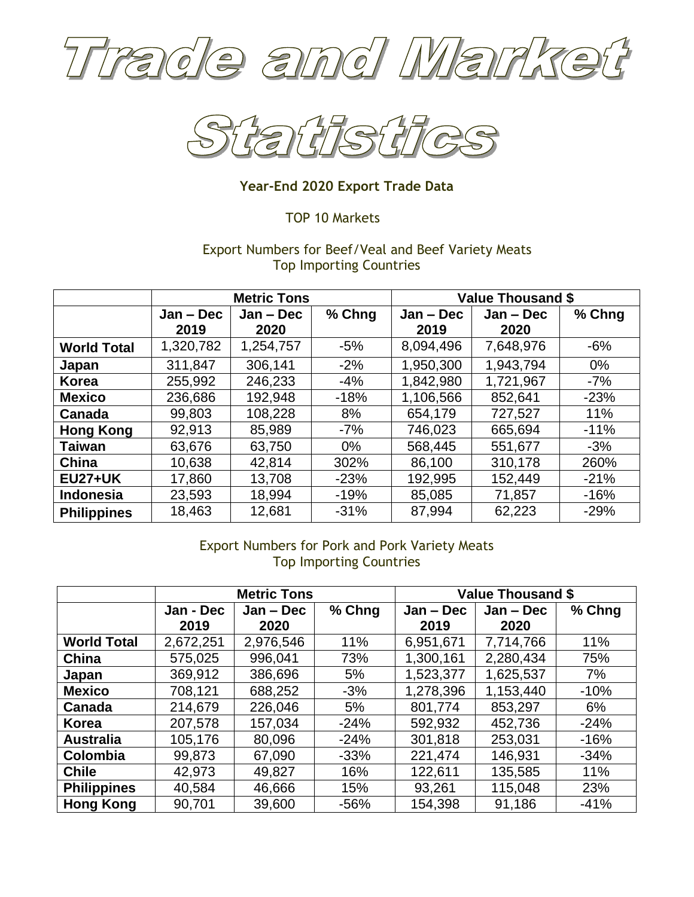



## **Year-End 2020 Export Trade Data**

## TOP 10 Markets

## Export Numbers for Beef/Veal and Beef Variety Meats Top Importing Countries

|                    | <b>Metric Tons</b> |             |        | <b>Value Thousand \$</b> |             |        |
|--------------------|--------------------|-------------|--------|--------------------------|-------------|--------|
|                    | $Jan - Dec$        | $Jan - Dec$ | % Chng | $Jan - Dec$              | $Jan - Dec$ | % Chng |
|                    | 2019               | 2020        |        | 2019                     | 2020        |        |
| <b>World Total</b> | 1,320,782          | 1,254,757   | $-5%$  | 8,094,496                | 7,648,976   | $-6%$  |
| Japan              | 311,847            | 306,141     | $-2%$  | 1,950,300                | 1,943,794   | $0\%$  |
| <b>Korea</b>       | 255,992            | 246,233     | $-4%$  | 1,842,980                | 1,721,967   | $-7%$  |
| <b>Mexico</b>      | 236,686            | 192,948     | $-18%$ | 1,106,566                | 852,641     | $-23%$ |
| Canada             | 99,803             | 108,228     | 8%     | 654,179                  | 727,527     | 11%    |
| <b>Hong Kong</b>   | 92,913             | 85,989      | -7%    | 746,023                  | 665,694     | $-11%$ |
| <b>Taiwan</b>      | 63,676             | 63,750      | $0\%$  | 568,445                  | 551,677     | $-3%$  |
| China              | 10,638             | 42,814      | 302%   | 86,100                   | 310,178     | 260%   |
| <b>EU27+UK</b>     | 17,860             | 13,708      | $-23%$ | 192,995                  | 152,449     | $-21%$ |
| <b>Indonesia</b>   | 23,593             | 18,994      | $-19%$ | 85,085                   | 71,857      | $-16%$ |
| <b>Philippines</b> | 18,463             | 12,681      | $-31%$ | 87,994                   | 62,223      | $-29%$ |

# Export Numbers for Pork and Pork Variety Meats Top Importing Countries

|                    | <b>Metric Tons</b> |             |        | <b>Value Thousand \$</b> |             |        |
|--------------------|--------------------|-------------|--------|--------------------------|-------------|--------|
|                    | Jan - Dec          | $Jan - Dec$ | % Chng | $Jan - Dec$              | $Jan - Dec$ | % Chng |
|                    | 2019               | 2020        |        | 2019                     | 2020        |        |
| <b>World Total</b> | 2,672,251          | 2,976,546   | 11%    | 6,951,671                | 7,714,766   | 11%    |
| China              | 575,025            | 996,041     | 73%    | 1,300,161                | 2,280,434   | 75%    |
| Japan              | 369,912            | 386,696     | 5%     | 1,523,377                | 1,625,537   | 7%     |
| <b>Mexico</b>      | 708,121            | 688,252     | $-3%$  | 1,278,396                | 1,153,440   | $-10%$ |
| Canada             | 214,679            | 226,046     | 5%     | 801,774                  | 853,297     | 6%     |
| <b>Korea</b>       | 207,578            | 157,034     | $-24%$ | 592,932                  | 452,736     | $-24%$ |
| <b>Australia</b>   | 105,176            | 80,096      | $-24%$ | 301,818                  | 253,031     | $-16%$ |
| Colombia           | 99,873             | 67,090      | $-33%$ | 221,474                  | 146,931     | $-34%$ |
| <b>Chile</b>       | 42,973             | 49,827      | 16%    | 122,611                  | 135,585     | 11%    |
| <b>Philippines</b> | 40,584             | 46,666      | 15%    | 93,261                   | 115,048     | 23%    |
| <b>Hong Kong</b>   | 90,701             | 39,600      | $-56%$ | 154,398                  | 91,186      | $-41%$ |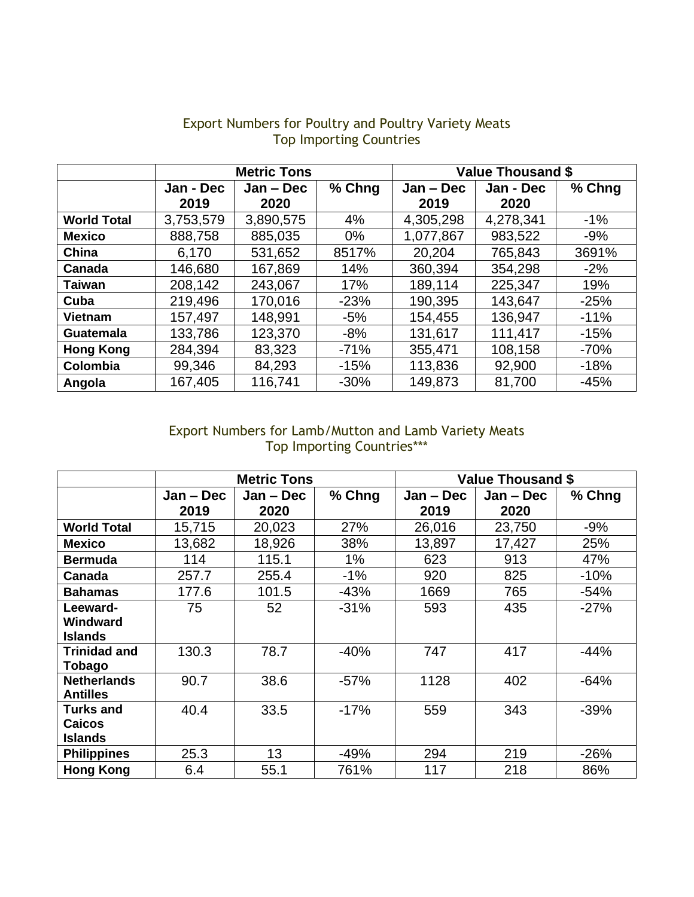|                    | <b>Metric Tons</b> |             |        | <b>Value Thousand \$</b> |           |        |
|--------------------|--------------------|-------------|--------|--------------------------|-----------|--------|
|                    | Jan - Dec          | $Jan - Dec$ | % Chng | $Jan - Dec$              | Jan - Dec | % Chng |
|                    | 2019               | 2020        |        | 2019                     | 2020      |        |
| <b>World Total</b> | 3,753,579          | 3,890,575   | 4%     | 4,305,298                | 4,278,341 | $-1\%$ |
| <b>Mexico</b>      | 888,758            | 885,035     | $0\%$  | 1,077,867                | 983,522   | $-9%$  |
| China              | 6,170              | 531,652     | 8517%  | 20,204                   | 765,843   | 3691%  |
| Canada             | 146,680            | 167,869     | 14%    | 360,394                  | 354,298   | $-2%$  |
| <b>Taiwan</b>      | 208,142            | 243,067     | 17%    | 189,114                  | 225,347   | 19%    |
| Cuba               | 219,496            | 170,016     | $-23%$ | 190,395                  | 143,647   | $-25%$ |
| <b>Vietnam</b>     | 157,497            | 148,991     | $-5%$  | 154,455                  | 136,947   | $-11%$ |
| <b>Guatemala</b>   | 133,786            | 123,370     | $-8%$  | 131,617                  | 111,417   | $-15%$ |
| <b>Hong Kong</b>   | 284,394            | 83,323      | $-71%$ | 355,471                  | 108,158   | $-70%$ |
| Colombia           | 99,346             | 84,293      | $-15%$ | 113,836                  | 92,900    | $-18%$ |
| Angola             | 167,405            | 116,741     | $-30%$ | 149,873                  | 81,700    | $-45%$ |

## Export Numbers for Poultry and Poultry Variety Meats Top Importing Countries

### Export Numbers for Lamb/Mutton and Lamb Variety Meats Top Importing Countries\*\*\*

|                     | <b>Metric Tons</b> |           |        | <b>Value Thousand \$</b> |             |        |
|---------------------|--------------------|-----------|--------|--------------------------|-------------|--------|
|                     | Jan – Dec          | Jan – Dec | % Chng | $Jan - Dec$              | $Jan - Dec$ | % Chng |
|                     | 2019               | 2020      |        | 2019                     | 2020        |        |
| <b>World Total</b>  | 15,715             | 20,023    | 27%    | 26,016                   | 23,750      | $-9%$  |
| <b>Mexico</b>       | 13,682             | 18,926    | 38%    | 13,897                   | 17,427      | 25%    |
| <b>Bermuda</b>      | 114                | 115.1     | $1\%$  | 623                      | 913         | 47%    |
| Canada              | 257.7              | 255.4     | $-1%$  | 920                      | 825         | $-10%$ |
| <b>Bahamas</b>      | 177.6              | 101.5     | $-43%$ | 1669                     | 765         | $-54%$ |
| Leeward-            | 75                 | 52        | $-31%$ | 593                      | 435         | $-27%$ |
| Windward            |                    |           |        |                          |             |        |
| Islands             |                    |           |        |                          |             |        |
| <b>Trinidad and</b> | 130.3              | 78.7      | $-40%$ | 747                      | 417         | $-44%$ |
| Tobago              |                    |           |        |                          |             |        |
| <b>Netherlands</b>  | 90.7               | 38.6      | $-57%$ | 1128                     | 402         | $-64%$ |
| <b>Antilles</b>     |                    |           |        |                          |             |        |
| <b>Turks and</b>    | 40.4               | 33.5      | $-17%$ | 559                      | 343         | $-39%$ |
| <b>Caicos</b>       |                    |           |        |                          |             |        |
| Islands             |                    |           |        |                          |             |        |
| <b>Philippines</b>  | 25.3               | 13        | $-49%$ | 294                      | 219         | $-26%$ |
| <b>Hong Kong</b>    | 6.4                | 55.1      | 761%   | 117                      | 218         | 86%    |